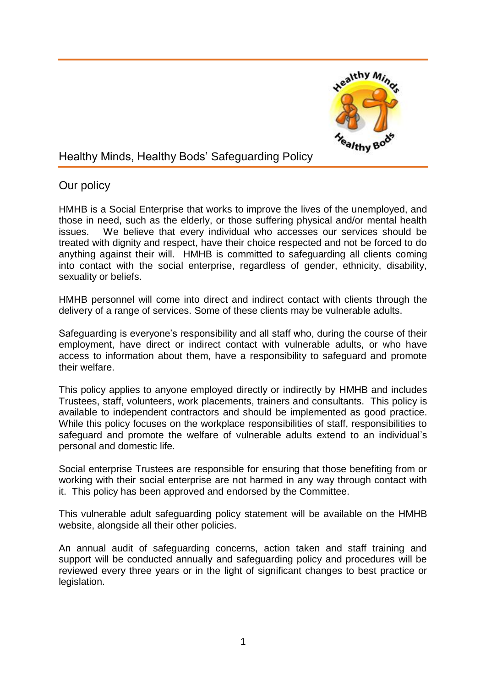

# Healthy Minds, Healthy Bods' Safeguarding Policy

## Our policy

HMHB is a Social Enterprise that works to improve the lives of the unemployed, and those in need, such as the elderly, or those suffering physical and/or mental health issues. We believe that every individual who accesses our services should be treated with dignity and respect, have their choice respected and not be forced to do anything against their will. HMHB is committed to safeguarding all clients coming into contact with the social enterprise, regardless of gender, ethnicity, disability, sexuality or beliefs.

HMHB personnel will come into direct and indirect contact with clients through the delivery of a range of services. Some of these clients may be vulnerable adults.

Safeguarding is everyone's responsibility and all staff who, during the course of their employment, have direct or indirect contact with vulnerable adults, or who have access to information about them, have a responsibility to safeguard and promote their welfare.

This policy applies to anyone employed directly or indirectly by HMHB and includes Trustees, staff, volunteers, work placements, trainers and consultants. This policy is available to independent contractors and should be implemented as good practice. While this policy focuses on the workplace responsibilities of staff, responsibilities to safeguard and promote the welfare of vulnerable adults extend to an individual's personal and domestic life.

Social enterprise Trustees are responsible for ensuring that those benefiting from or working with their social enterprise are not harmed in any way through contact with it. This policy has been approved and endorsed by the Committee.

This vulnerable adult safeguarding policy statement will be available on the HMHB website, alongside all their other policies.

An annual audit of safeguarding concerns, action taken and staff training and support will be conducted annually and safeguarding policy and procedures will be reviewed every three years or in the light of significant changes to best practice or legislation.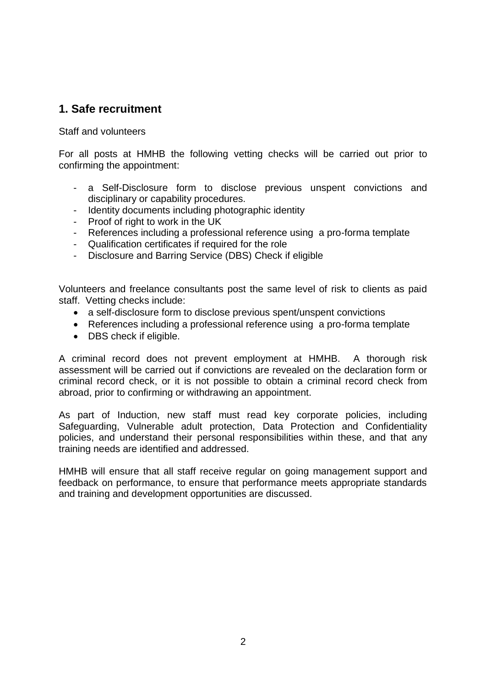## **1. Safe recruitment**

Staff and volunteers

For all posts at HMHB the following vetting checks will be carried out prior to confirming the appointment:

- a Self-Disclosure form to disclose previous unspent convictions and disciplinary or capability procedures.
- Identity documents including photographic identity
- Proof of right to work in the UK
- References including a professional reference using a pro-forma template
- Qualification certificates if required for the role
- Disclosure and Barring Service (DBS) Check if eligible

Volunteers and freelance consultants post the same level of risk to clients as paid staff. Vetting checks include:

- a self-disclosure form to disclose previous spent/unspent convictions
- References including a professional reference using a pro-forma template
- DBS check if eligible.

A criminal record does not prevent employment at HMHB. A thorough risk assessment will be carried out if convictions are revealed on the declaration form or criminal record check, or it is not possible to obtain a criminal record check from abroad, prior to confirming or withdrawing an appointment.

As part of Induction, new staff must read key corporate policies, including Safeguarding, Vulnerable adult protection, Data Protection and Confidentiality policies, and understand their personal responsibilities within these, and that any training needs are identified and addressed.

HMHB will ensure that all staff receive regular on going management support and feedback on performance, to ensure that performance meets appropriate standards and training and development opportunities are discussed.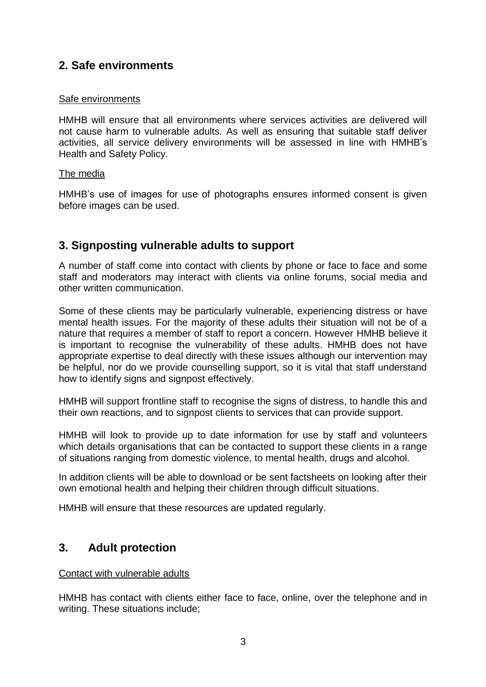## **2. Safe environments**

### Safe environments

HMHB will ensure that all environments where services activities are delivered will not cause harm to vulnerable adults. As well as ensuring that suitable staff deliver activities, all service delivery environments will be assessed in line with HMHB's Health and Safety Policy.

### The media

HMHB's use of images for use of photographs ensures informed consent is given before images can be used.

# **3. Signposting vulnerable adults to support**

A number of staff come into contact with clients by phone or face to face and some staff and moderators may interact with clients via online forums, social media and other written communication.

Some of these clients may be particularly vulnerable, experiencing distress or have mental health issues. For the majority of these adults their situation will not be of a nature that requires a member of staff to report a concern. However HMHB believe it is important to recognise the vulnerability of these adults. HMHB does not have appropriate expertise to deal directly with these issues although our intervention may be helpful, nor do we provide counselling support, so it is vital that staff understand how to identify signs and signpost effectively.

HMHB will support frontline staff to recognise the signs of distress, to handle this and their own reactions, and to signpost clients to services that can provide support.

HMHB will look to provide up to date information for use by staff and volunteers which details organisations that can be contacted to support these clients in a range of situations ranging from domestic violence, to mental health, drugs and alcohol.

In addition clients will be able to download or be sent factsheets on looking after their own emotional health and helping their children through difficult situations.

HMHB will ensure that these resources are updated regularly.

## **3. Adult protection**

## Contact with vulnerable adults

HMHB has contact with clients either face to face, online, over the telephone and in writing. These situations include;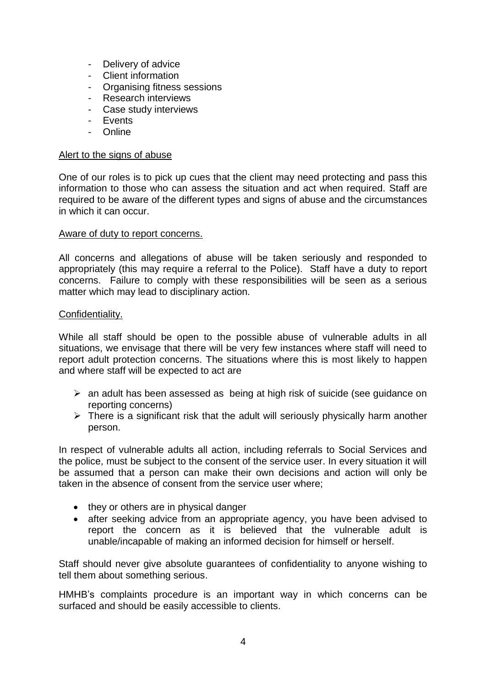- Delivery of advice
- Client information
- Organising fitness sessions
- Research interviews
- Case study interviews
- Events
- Online

#### Alert to the signs of abuse

One of our roles is to pick up cues that the client may need protecting and pass this information to those who can assess the situation and act when required. Staff are required to be aware of the different types and signs of abuse and the circumstances in which it can occur.

### Aware of duty to report concerns.

All concerns and allegations of abuse will be taken seriously and responded to appropriately (this may require a referral to the Police). Staff have a duty to report concerns. Failure to comply with these responsibilities will be seen as a serious matter which may lead to disciplinary action.

### Confidentiality.

While all staff should be open to the possible abuse of vulnerable adults in all situations, we envisage that there will be very few instances where staff will need to report adult protection concerns. The situations where this is most likely to happen and where staff will be expected to act are

- $\triangleright$  an adult has been assessed as being at high risk of suicide (see guidance on reporting concerns)
- $\triangleright$  There is a significant risk that the adult will seriously physically harm another person.

In respect of vulnerable adults all action, including referrals to Social Services and the police, must be subject to the consent of the service user. In every situation it will be assumed that a person can make their own decisions and action will only be taken in the absence of consent from the service user where;

- they or others are in physical danger
- after seeking advice from an appropriate agency, you have been advised to report the concern as it is believed that the vulnerable adult is unable/incapable of making an informed decision for himself or herself.

Staff should never give absolute guarantees of confidentiality to anyone wishing to tell them about something serious.

HMHB's complaints procedure is an important way in which concerns can be surfaced and should be easily accessible to clients.